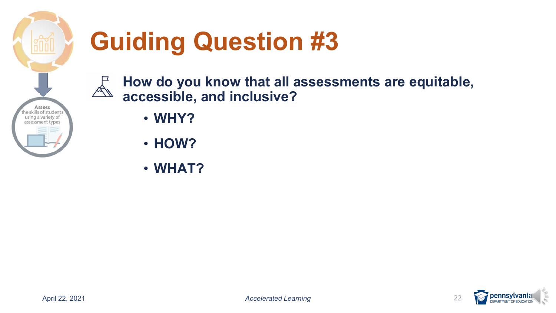

# **Guiding Question #3**

 **How do you know that all assessments are equitable, accessible, and inclusive?** 

- **WHY?**
- **HOW?**
- **WHAT?**

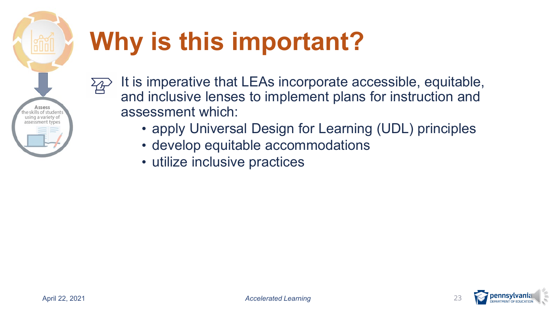

 $^2\!A$ 

# **Why is this important?**

- It is imperative that LEAs incorporate accessible, equitable, and inclusive lenses to implement plans for instruction and assessment which:
	- apply Universal Design for Learning (UDL) principles
	- develop equitable accommodations
	- utilize inclusive practices

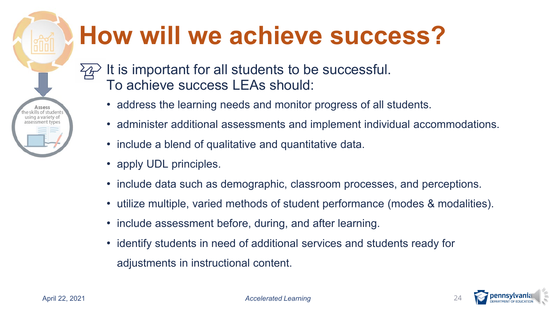# **How will we achieve success?**

 It is important for all students to be successful. To achieve success LEAs should:

- address the learning needs and monitor progress of all students.
- administer additional assessments and implement individual accommodations.
- include a blend of qualitative and quantitative data.
- apply UDL principles.
- include data such as demographic, classroom processes, and perceptions.
- utilize multiple, varied methods of student performance (modes & modalities).
- include assessment before, during, and after learning.
- • identify students in need of additional services and students ready for adjustments in instructional content.

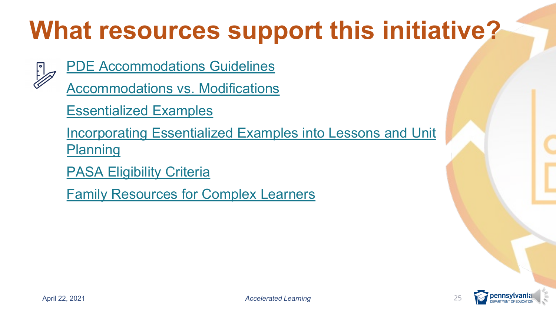# **What resources support this initiative?**



[PDE Accommodations Guidelines](https://www.education.pa.gov/Documents/K-12/Assessment%20and%20Accountability/PSSA/Accommodations/Accommodations%20Guidelines%20for%20PSSA%20and%20Keystone%20Exams.pdf) 

[Accommodations vs. Modifications](https://www.washington.edu/doit/what-difference-between-accommodation-and-modification-student-disability) 

[Essentialized Examples](https://www.pattan.net/Disabilities/Students-with-Significant-Cognitive-Disabilities/Alternate-Eligible-Content-and-the-Essentializatio/Essentialized-Examples)

[Incorporating Essentialized Examples into Lessons and Unit](https://www.youtube.com/watch?v=ThXIBkN6jX0) Planning

[PASA Eligibility Criteria](https://www.pattan.net/assets/PaTTAN/07/07639734-f5fe-436d-ba8f-43fb8476dbd0.pdf)

[Family Resources for Complex Learners](https://sites.google.com/pattan.net/pattan-significant-cognitive-d/home) 

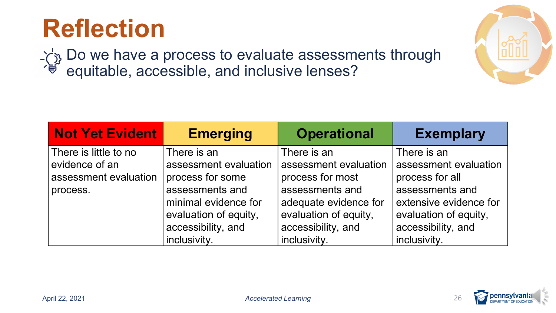### **Reflection**

Do we have a process to evaluate assessments through equitable, accessible, and inclusive lenses?

| <b>Not Yet Evident</b> | <b>Emerging</b>       | <b>Operational</b>    | <b>Exemplary</b>       |
|------------------------|-----------------------|-----------------------|------------------------|
| There is little to no  | There is an           | There is an           | There is an            |
| evidence of an         | assessment evaluation | assessment evaluation | assessment evaluation  |
| assessment evaluation  | process for some      | process for most      | process for all        |
| process.               | assessments and       | assessments and       | assessments and        |
|                        | minimal evidence for  | adequate evidence for | extensive evidence for |
|                        | evaluation of equity, | evaluation of equity, | evaluation of equity,  |
|                        | accessibility, and    | accessibility, and    | accessibility, and     |
|                        | inclusivity.          | inclusivity.          | inclusivity.           |



**:lllll**